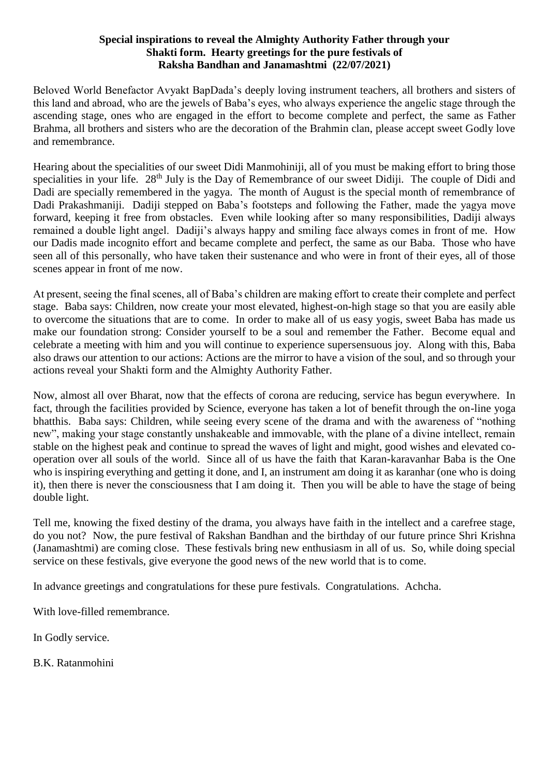#### **Special inspirations to reveal the Almighty Authority Father through your Shakti form. Hearty greetings for the pure festivals of Raksha Bandhan and Janamashtmi (22/07/2021)**

Beloved World Benefactor Avyakt BapDada's deeply loving instrument teachers, all brothers and sisters of this land and abroad, who are the jewels of Baba's eyes, who always experience the angelic stage through the ascending stage, ones who are engaged in the effort to become complete and perfect, the same as Father Brahma, all brothers and sisters who are the decoration of the Brahmin clan, please accept sweet Godly love and remembrance.

Hearing about the specialities of our sweet Didi Manmohiniji, all of you must be making effort to bring those specialities in your life. 28<sup>th</sup> July is the Day of Remembrance of our sweet Didiji. The couple of Didi and Dadi are specially remembered in the yagya. The month of August is the special month of remembrance of Dadi Prakashmaniji. Dadiji stepped on Baba's footsteps and following the Father, made the yagya move forward, keeping it free from obstacles. Even while looking after so many responsibilities, Dadiji always remained a double light angel. Dadiji's always happy and smiling face always comes in front of me. How our Dadis made incognito effort and became complete and perfect, the same as our Baba. Those who have seen all of this personally, who have taken their sustenance and who were in front of their eyes, all of those scenes appear in front of me now.

At present, seeing the final scenes, all of Baba's children are making effort to create their complete and perfect stage. Baba says: Children, now create your most elevated, highest-on-high stage so that you are easily able to overcome the situations that are to come. In order to make all of us easy yogis, sweet Baba has made us make our foundation strong: Consider yourself to be a soul and remember the Father. Become equal and celebrate a meeting with him and you will continue to experience supersensuous joy. Along with this, Baba also draws our attention to our actions: Actions are the mirror to have a vision of the soul, and so through your actions reveal your Shakti form and the Almighty Authority Father.

Now, almost all over Bharat, now that the effects of corona are reducing, service has begun everywhere. In fact, through the facilities provided by Science, everyone has taken a lot of benefit through the on-line yoga bhatthis. Baba says: Children, while seeing every scene of the drama and with the awareness of "nothing new", making your stage constantly unshakeable and immovable, with the plane of a divine intellect, remain stable on the highest peak and continue to spread the waves of light and might, good wishes and elevated cooperation over all souls of the world. Since all of us have the faith that Karan-karavanhar Baba is the One who is inspiring everything and getting it done, and I, an instrument am doing it as karanhar (one who is doing it), then there is never the consciousness that I am doing it. Then you will be able to have the stage of being double light.

Tell me, knowing the fixed destiny of the drama, you always have faith in the intellect and a carefree stage, do you not? Now, the pure festival of Rakshan Bandhan and the birthday of our future prince Shri Krishna (Janamashtmi) are coming close. These festivals bring new enthusiasm in all of us. So, while doing special service on these festivals, give everyone the good news of the new world that is to come.

In advance greetings and congratulations for these pure festivals. Congratulations. Achcha.

With love-filled remembrance.

In Godly service.

B.K. Ratanmohini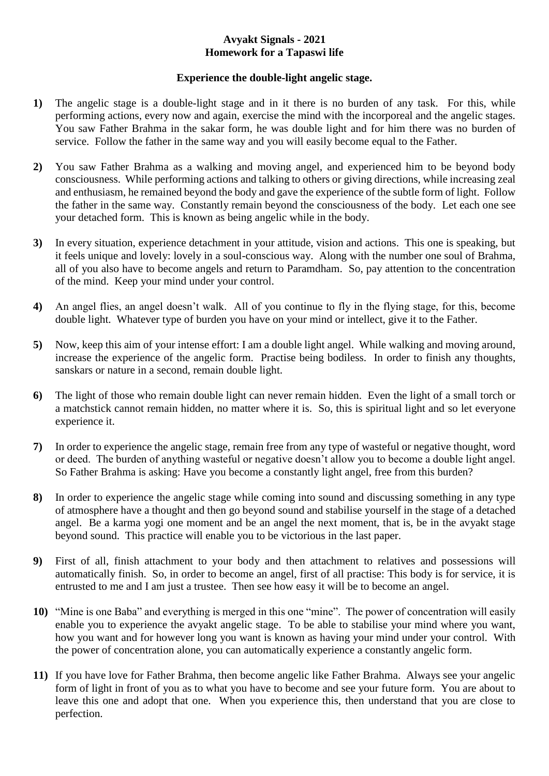## **Avyakt Signals - 2021 Homework for a Tapaswi life**

## **Experience the double-light angelic stage.**

- **1)** The angelic stage is a double-light stage and in it there is no burden of any task. For this, while performing actions, every now and again, exercise the mind with the incorporeal and the angelic stages. You saw Father Brahma in the sakar form, he was double light and for him there was no burden of service. Follow the father in the same way and you will easily become equal to the Father.
- **2)** You saw Father Brahma as a walking and moving angel, and experienced him to be beyond body consciousness. While performing actions and talking to others or giving directions, while increasing zeal and enthusiasm, he remained beyond the body and gave the experience of the subtle form of light. Follow the father in the same way. Constantly remain beyond the consciousness of the body. Let each one see your detached form. This is known as being angelic while in the body.
- **3)** In every situation, experience detachment in your attitude, vision and actions. This one is speaking, but it feels unique and lovely: lovely in a soul-conscious way. Along with the number one soul of Brahma, all of you also have to become angels and return to Paramdham. So, pay attention to the concentration of the mind. Keep your mind under your control.
- **4)** An angel flies, an angel doesn't walk. All of you continue to fly in the flying stage, for this, become double light. Whatever type of burden you have on your mind or intellect, give it to the Father.
- **5)** Now, keep this aim of your intense effort: I am a double light angel. While walking and moving around, increase the experience of the angelic form. Practise being bodiless. In order to finish any thoughts, sanskars or nature in a second, remain double light.
- **6)** The light of those who remain double light can never remain hidden. Even the light of a small torch or a matchstick cannot remain hidden, no matter where it is. So, this is spiritual light and so let everyone experience it.
- **7)** In order to experience the angelic stage, remain free from any type of wasteful or negative thought, word or deed. The burden of anything wasteful or negative doesn't allow you to become a double light angel. So Father Brahma is asking: Have you become a constantly light angel, free from this burden?
- **8)** In order to experience the angelic stage while coming into sound and discussing something in any type of atmosphere have a thought and then go beyond sound and stabilise yourself in the stage of a detached angel. Be a karma yogi one moment and be an angel the next moment, that is, be in the avyakt stage beyond sound. This practice will enable you to be victorious in the last paper.
- **9)** First of all, finish attachment to your body and then attachment to relatives and possessions will automatically finish. So, in order to become an angel, first of all practise: This body is for service, it is entrusted to me and I am just a trustee. Then see how easy it will be to become an angel.
- **10)** "Mine is one Baba" and everything is merged in this one "mine". The power of concentration will easily enable you to experience the avyakt angelic stage. To be able to stabilise your mind where you want, how you want and for however long you want is known as having your mind under your control. With the power of concentration alone, you can automatically experience a constantly angelic form.
- **11)** If you have love for Father Brahma, then become angelic like Father Brahma. Always see your angelic form of light in front of you as to what you have to become and see your future form. You are about to leave this one and adopt that one. When you experience this, then understand that you are close to perfection.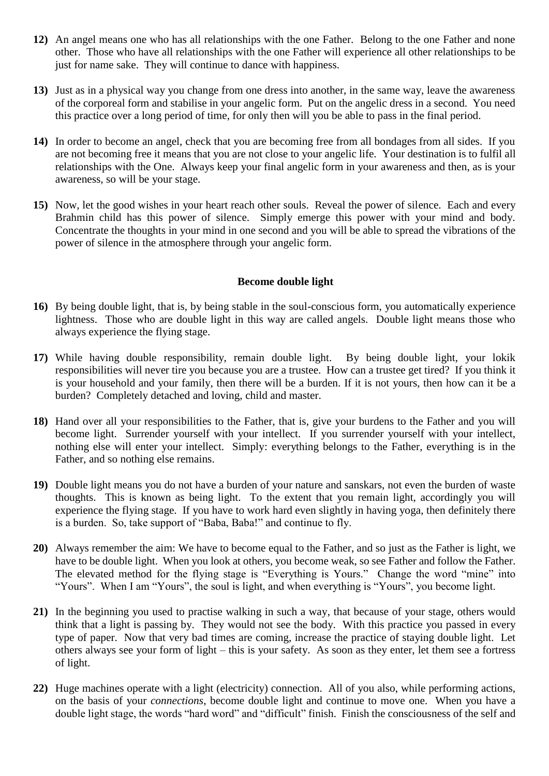- **12)** An angel means one who has all relationships with the one Father. Belong to the one Father and none other. Those who have all relationships with the one Father will experience all other relationships to be just for name sake. They will continue to dance with happiness.
- **13)** Just as in a physical way you change from one dress into another, in the same way, leave the awareness of the corporeal form and stabilise in your angelic form. Put on the angelic dress in a second. You need this practice over a long period of time, for only then will you be able to pass in the final period.
- **14)** In order to become an angel, check that you are becoming free from all bondages from all sides. If you are not becoming free it means that you are not close to your angelic life. Your destination is to fulfil all relationships with the One. Always keep your final angelic form in your awareness and then, as is your awareness, so will be your stage.
- **15)** Now, let the good wishes in your heart reach other souls. Reveal the power of silence. Each and every Brahmin child has this power of silence. Simply emerge this power with your mind and body. Concentrate the thoughts in your mind in one second and you will be able to spread the vibrations of the power of silence in the atmosphere through your angelic form.

#### **Become double light**

- **16)** By being double light, that is, by being stable in the soul-conscious form, you automatically experience lightness. Those who are double light in this way are called angels. Double light means those who always experience the flying stage.
- **17)** While having double responsibility, remain double light. By being double light, your lokik responsibilities will never tire you because you are a trustee. How can a trustee get tired? If you think it is your household and your family, then there will be a burden. If it is not yours, then how can it be a burden? Completely detached and loving, child and master.
- **18)** Hand over all your responsibilities to the Father, that is, give your burdens to the Father and you will become light. Surrender yourself with your intellect. If you surrender yourself with your intellect, nothing else will enter your intellect. Simply: everything belongs to the Father, everything is in the Father, and so nothing else remains.
- **19)** Double light means you do not have a burden of your nature and sanskars, not even the burden of waste thoughts. This is known as being light. To the extent that you remain light, accordingly you will experience the flying stage. If you have to work hard even slightly in having yoga, then definitely there is a burden. So, take support of "Baba, Baba!" and continue to fly.
- **20)** Always remember the aim: We have to become equal to the Father, and so just as the Father is light, we have to be double light. When you look at others, you become weak, so see Father and follow the Father. The elevated method for the flying stage is "Everything is Yours." Change the word "mine" into "Yours". When I am "Yours", the soul is light, and when everything is "Yours", you become light.
- **21)** In the beginning you used to practise walking in such a way, that because of your stage, others would think that a light is passing by. They would not see the body. With this practice you passed in every type of paper. Now that very bad times are coming, increase the practice of staying double light. Let others always see your form of light – this is your safety. As soon as they enter, let them see a fortress of light.
- **22)** Huge machines operate with a light (electricity) connection. All of you also, while performing actions, on the basis of your *connections*, become double light and continue to move one. When you have a double light stage, the words "hard word" and "difficult" finish. Finish the consciousness of the self and